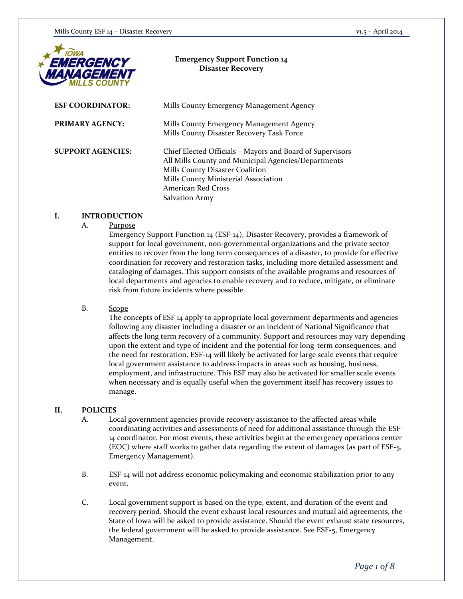

#### **Emergency Support Function 14 Disaster Recovery**

| <b>ESF COORDINATOR:</b>  | Mills County Emergency Management Agency                                                                                                                                                                                                   |
|--------------------------|--------------------------------------------------------------------------------------------------------------------------------------------------------------------------------------------------------------------------------------------|
| <b>PRIMARY AGENCY:</b>   | Mills County Emergency Management Agency<br>Mills County Disaster Recovery Task Force                                                                                                                                                      |
| <b>SUPPORT AGENCIES:</b> | Chief Elected Officials – Mayors and Board of Supervisors<br>All Mills County and Municipal Agencies/Departments<br>Mills County Disaster Coalition<br>Mills County Ministerial Association<br>American Red Cross<br><b>Salvation Army</b> |

#### **I. INTRODUCTION**

#### A. Purpose

Emergency Support Function 14 (ESF-14), Disaster Recovery, provides a framework of support for local government, non-governmental organizations and the private sector entities to recover from the long term consequences of a disaster, to provide for effective coordination for recovery and restoration tasks, including more detailed assessment and cataloging of damages. This support consists of the available programs and resources of local departments and agencies to enable recovery and to reduce, mitigate, or eliminate risk from future incidents where possible.

#### B. Scope

The concepts of ESF 14 apply to appropriate local government departments and agencies following any disaster including a disaster or an incident of National Significance that affects the long term recovery of a community. Support and resources may vary depending upon the extent and type of incident and the potential for long-term consequences, and the need for restoration. ESF-14 will likely be activated for large scale events that require local government assistance to address impacts in areas such as housing, business, employment, and infrastructure. This ESF may also be activated for smaller scale events when necessary and is equally useful when the government itself has recovery issues to manage.

#### **II. POLICIES**

- A. Local government agencies provide recovery assistance to the affected areas while coordinating activities and assessments of need for additional assistance through the ESF-14 coordinator. For most events, these activities begin at the emergency operations center (EOC) where staff works to gather data regarding the extent of damages (as part of ESF-5, Emergency Management).
- B. ESF-14 will not address economic policymaking and economic stabilization prior to any event.
- C. Local government support is based on the type, extent, and duration of the event and recovery period. Should the event exhaust local resources and mutual aid agreements, the State of Iowa will be asked to provide assistance. Should the event exhaust state resources, the federal government will be asked to provide assistance. See ESF-5, Emergency Management.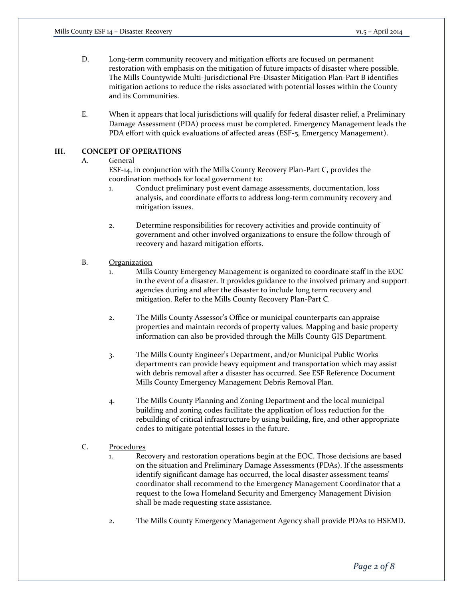- D. Long-term community recovery and mitigation efforts are focused on permanent restoration with emphasis on the mitigation of future impacts of disaster where possible. The Mills Countywide Multi-Jurisdictional Pre-Disaster Mitigation Plan-Part B identifies mitigation actions to reduce the risks associated with potential losses within the County and its Communities.
- E. When it appears that local jurisdictions will qualify for federal disaster relief, a Preliminary Damage Assessment (PDA) process must be completed. Emergency Management leads the PDA effort with quick evaluations of affected areas (ESF-5, Emergency Management).

#### **III. CONCEPT OF OPERATIONS**

#### A. General

ESF-14, in conjunction with the Mills County Recovery Plan-Part C, provides the coordination methods for local government to:

- 1. Conduct preliminary post event damage assessments, documentation, loss analysis, and coordinate efforts to address long-term community recovery and mitigation issues.
- 2. Determine responsibilities for recovery activities and provide continuity of government and other involved organizations to ensure the follow through of recovery and hazard mitigation efforts.

#### B. Organization

- 1. Mills County Emergency Management is organized to coordinate staff in the EOC in the event of a disaster. It provides guidance to the involved primary and support agencies during and after the disaster to include long term recovery and mitigation. Refer to the Mills County Recovery Plan-Part C.
- 2. The Mills County Assessor's Office or municipal counterparts can appraise properties and maintain records of property values. Mapping and basic property information can also be provided through the Mills County GIS Department.
- 3. The Mills County Engineer's Department, and/or Municipal Public Works departments can provide heavy equipment and transportation which may assist with debris removal after a disaster has occurred. See ESF Reference Document Mills County Emergency Management Debris Removal Plan.
- 4. The Mills County Planning and Zoning Department and the local municipal building and zoning codes facilitate the application of loss reduction for the rebuilding of critical infrastructure by using building, fire, and other appropriate codes to mitigate potential losses in the future.

## C. Procedures

- 1. Recovery and restoration operations begin at the EOC. Those decisions are based on the situation and Preliminary Damage Assessments (PDAs). If the assessments identify significant damage has occurred, the local disaster assessment teams' coordinator shall recommend to the Emergency Management Coordinator that a request to the Iowa Homeland Security and Emergency Management Division shall be made requesting state assistance.
- 2. The Mills County Emergency Management Agency shall provide PDAs to HSEMD.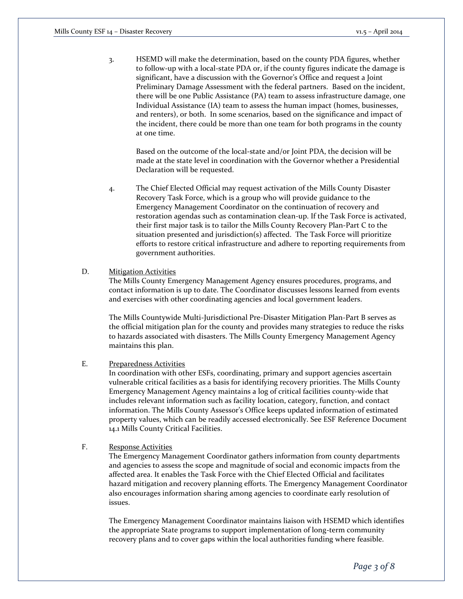3. HSEMD will make the determination, based on the county PDA figures, whether to follow-up with a local-state PDA or, if the county figures indicate the damage is significant, have a discussion with the Governor's Office and request a Joint Preliminary Damage Assessment with the federal partners. Based on the incident, there will be one Public Assistance (PA) team to assess infrastructure damage, one Individual Assistance (IA) team to assess the human impact (homes, businesses, and renters), or both. In some scenarios, based on the significance and impact of the incident, there could be more than one team for both programs in the county at one time.

Based on the outcome of the local-state and/or Joint PDA, the decision will be made at the state level in coordination with the Governor whether a Presidential Declaration will be requested.

4. The Chief Elected Official may request activation of the Mills County Disaster Recovery Task Force, which is a group who will provide guidance to the Emergency Management Coordinator on the continuation of recovery and restoration agendas such as contamination clean-up. If the Task Force is activated, their first major task is to tailor the Mills County Recovery Plan-Part C to the situation presented and jurisdiction(s) affected. The Task Force will prioritize efforts to restore critical infrastructure and adhere to reporting requirements from government authorities.

#### D. Mitigation Activities

The Mills County Emergency Management Agency ensures procedures, programs, and contact information is up to date. The Coordinator discusses lessons learned from events and exercises with other coordinating agencies and local government leaders.

The Mills Countywide Multi-Jurisdictional Pre-Disaster Mitigation Plan-Part B serves as the official mitigation plan for the county and provides many strategies to reduce the risks to hazards associated with disasters. The Mills County Emergency Management Agency maintains this plan.

#### E. Preparedness Activities

In coordination with other ESFs, coordinating, primary and support agencies ascertain vulnerable critical facilities as a basis for identifying recovery priorities. The Mills County Emergency Management Agency maintains a log of critical facilities county-wide that includes relevant information such as facility location, category, function, and contact information. The Mills County Assessor's Office keeps updated information of estimated property values, which can be readily accessed electronically. See ESF Reference Document 14.1 Mills County Critical Facilities.

## F. Response Activities

The Emergency Management Coordinator gathers information from county departments and agencies to assess the scope and magnitude of social and economic impacts from the affected area. It enables the Task Force with the Chief Elected Official and facilitates hazard mitigation and recovery planning efforts. The Emergency Management Coordinator also encourages information sharing among agencies to coordinate early resolution of issues.

The Emergency Management Coordinator maintains liaison with HSEMD which identifies the appropriate State programs to support implementation of long-term community recovery plans and to cover gaps within the local authorities funding where feasible.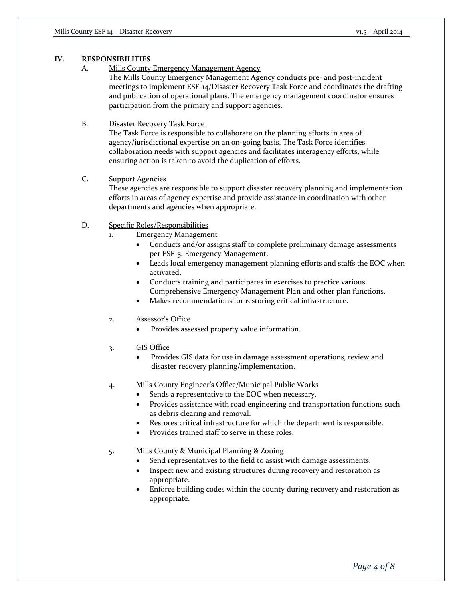## **IV. RESPONSIBILITIES**

A. Mills County Emergency Management Agency

The Mills County Emergency Management Agency conducts pre- and post-incident meetings to implement ESF-14/Disaster Recovery Task Force and coordinates the drafting and publication of operational plans. The emergency management coordinator ensures participation from the primary and support agencies.

#### B. Disaster Recovery Task Force

The Task Force is responsible to collaborate on the planning efforts in area of agency/jurisdictional expertise on an on-going basis. The Task Force identifies collaboration needs with support agencies and facilitates interagency efforts, while ensuring action is taken to avoid the duplication of efforts.

# C. Support Agencies

These agencies are responsible to support disaster recovery planning and implementation efforts in areas of agency expertise and provide assistance in coordination with other departments and agencies when appropriate.

### D. Specific Roles/Responsibilities

- 1. Emergency Management
	- Conducts and/or assigns staff to complete preliminary damage assessments per ESF-5, Emergency Management.
	- Leads local emergency management planning efforts and staffs the EOC when activated.
	- Conducts training and participates in exercises to practice various Comprehensive Emergency Management Plan and other plan functions.
	- Makes recommendations for restoring critical infrastructure.
- 2. Assessor's Office
	- Provides assessed property value information.
- 3. GIS Office
	- Provides GIS data for use in damage assessment operations, review and disaster recovery planning/implementation.
- 4. Mills County Engineer's Office/Municipal Public Works
	- Sends a representative to the EOC when necessary.
		- Provides assistance with road engineering and transportation functions such as debris clearing and removal.
	- Restores critical infrastructure for which the department is responsible.
	- Provides trained staff to serve in these roles.
- 5. Mills County & Municipal Planning & Zoning
	- Send representatives to the field to assist with damage assessments.
	- Inspect new and existing structures during recovery and restoration as appropriate.
	- Enforce building codes within the county during recovery and restoration as appropriate.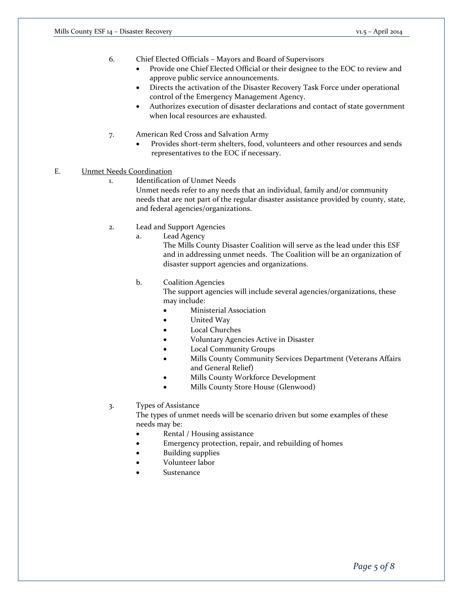6. Chief Elected Officials – Mayors and Board of Supervisors

- Provide one Chief Elected Official or their designee to the EOC to review and approve public service announcements.
- Directs the activation of the Disaster Recovery Task Force under operational control of the Emergency Management Agency.
- Authorizes execution of disaster declarations and contact of state government when local resources are exhausted.
- 7. American Red Cross and Salvation Army
	- Provides short-term shelters, food, volunteers and other resources and sends representatives to the EOC if necessary.
- E. Unmet Needs Coordination
	- 1. Identification of Unmet Needs

Unmet needs refer to any needs that an individual, family and/or community needs that are not part of the regular disaster assistance provided by county, state, and federal agencies/organizations.

- 2. Lead and Support Agencies
	- a. Lead Agency

The Mills County Disaster Coalition will serve as the lead under this ESF and in addressing unmet needs. The Coalition will be an organization of disaster support agencies and organizations.

b. Coalition Agencies

The support agencies will include several agencies/organizations, these may include:

- Ministerial Association
- United Way
- Local Churches
- Voluntary Agencies Active in Disaster
- Local Community Groups
- Mills County Community Services Department (Veterans Affairs and General Relief)
- Mills County Workforce Development
- Mills County Store House (Glenwood)
- 3. Types of Assistance

The types of unmet needs will be scenario driven but some examples of these needs may be:

- Rental / Housing assistance
- Emergency protection, repair, and rebuilding of homes
- Building supplies
- Volunteer labor
- Sustenance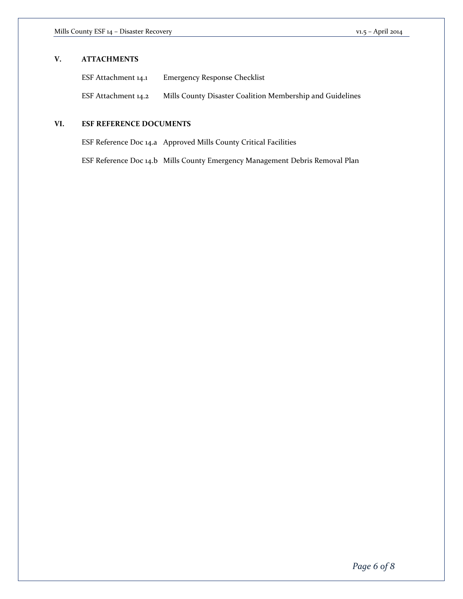# **V. ATTACHMENTS**

| ESF Attachment 14.1 | <b>Emergency Response Checklist</b>                       |
|---------------------|-----------------------------------------------------------|
| ESF Attachment 14.2 | Mills County Disaster Coalition Membership and Guidelines |

# **VI. ESF REFERENCE DOCUMENTS**

ESF Reference Doc 14.a Approved Mills County Critical Facilities

ESF Reference Doc 14.b Mills County Emergency Management Debris Removal Plan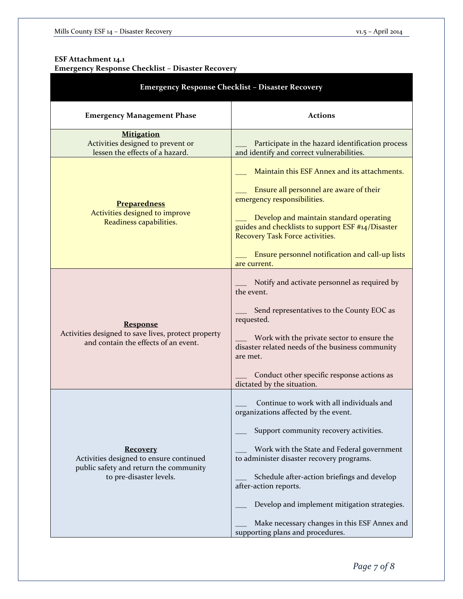## **ESF Attachment 14.1 Emergency Response Checklist – Disaster Recovery**

| <b>Emergency Response Checklist - Disaster Recovery</b>                                                                         |                                                                                                                                                                                                                                                                                                                                                                                                                                    |  |
|---------------------------------------------------------------------------------------------------------------------------------|------------------------------------------------------------------------------------------------------------------------------------------------------------------------------------------------------------------------------------------------------------------------------------------------------------------------------------------------------------------------------------------------------------------------------------|--|
| <b>Emergency Management Phase</b>                                                                                               | <b>Actions</b>                                                                                                                                                                                                                                                                                                                                                                                                                     |  |
| <b>Mitigation</b><br>Activities designed to prevent or<br>lessen the effects of a hazard.                                       | Participate in the hazard identification process<br>and identify and correct vulnerabilities.                                                                                                                                                                                                                                                                                                                                      |  |
| <b>Preparedness</b><br>Activities designed to improve<br>Readiness capabilities.                                                | Maintain this ESF Annex and its attachments.<br>Ensure all personnel are aware of their<br>emergency responsibilities.<br>Develop and maintain standard operating<br>guides and checklists to support ESF #14/Disaster<br>Recovery Task Force activities.<br>Ensure personnel notification and call-up lists<br>are current.                                                                                                       |  |
| <b>Response</b><br>Activities designed to save lives, protect property<br>and contain the effects of an event.                  | Notify and activate personnel as required by<br>the event.<br>Send representatives to the County EOC as<br>requested.<br>Work with the private sector to ensure the<br>disaster related needs of the business community<br>are met.<br>Conduct other specific response actions as<br>dictated by the situation.                                                                                                                    |  |
| <b>Recovery</b><br>Activities designed to ensure continued<br>public safety and return the community<br>to pre-disaster levels. | Continue to work with all individuals and<br>organizations affected by the event.<br>Support community recovery activities.<br>Work with the State and Federal government<br>to administer disaster recovery programs.<br>Schedule after-action briefings and develop<br>after-action reports.<br>Develop and implement mitigation strategies.<br>Make necessary changes in this ESF Annex and<br>supporting plans and procedures. |  |